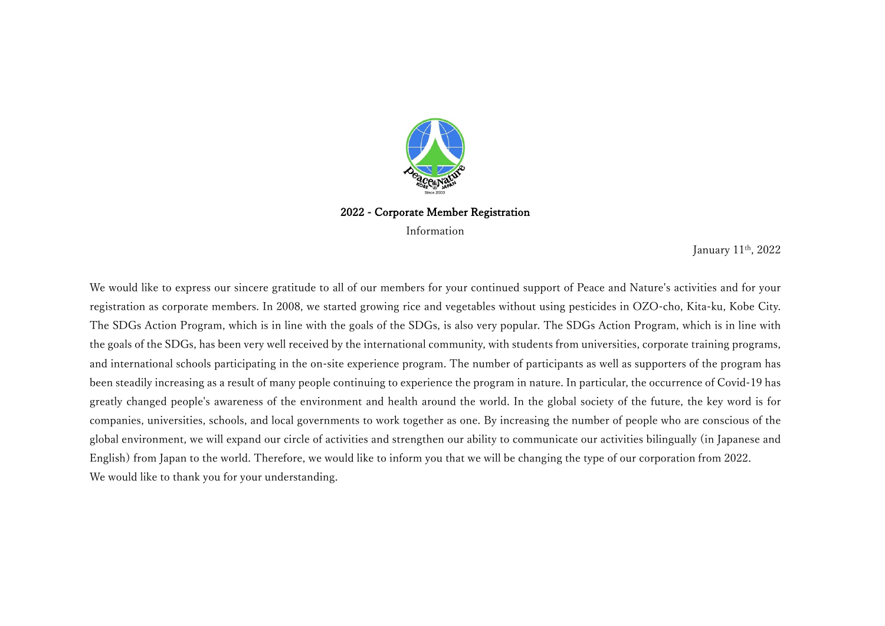

2022 - Corporate Member Registration Information

January 11th, 2022

We would like to express our sincere gratitude to all of our members for your continued support of Peace and Nature's activities and for your registration as corporate members. In 2008, we started growing rice and vegetables without using pesticides in OZO-cho, Kita-ku, Kobe City. The SDGs Action Program, which is in line with the goals of the SDGs, is also very popular. The SDGs Action Program, which is in line with the goals of the SDGs, has been very well received by the international community, with students from universities, corporate training programs, and international schools participating in the on-site experience program. The number of participants as well as supporters of the program has been steadily increasing as a result of many people continuing to experience the program in nature. In particular, the occurrence of Covid-19 has greatly changed people's awareness of the environment and health around the world. In the global society of the future, the key word is for companies, universities, schools, and local governments to work together as one. By increasing the number of people who are conscious of the global environment, we will expand our circle of activities and strengthen our ability to communicate our activities bilingually (in Japanese and English) from Japan to the world. Therefore, we would like to inform you that we will be changing the type of our corporation from 2022. We would like to thank you for your understanding.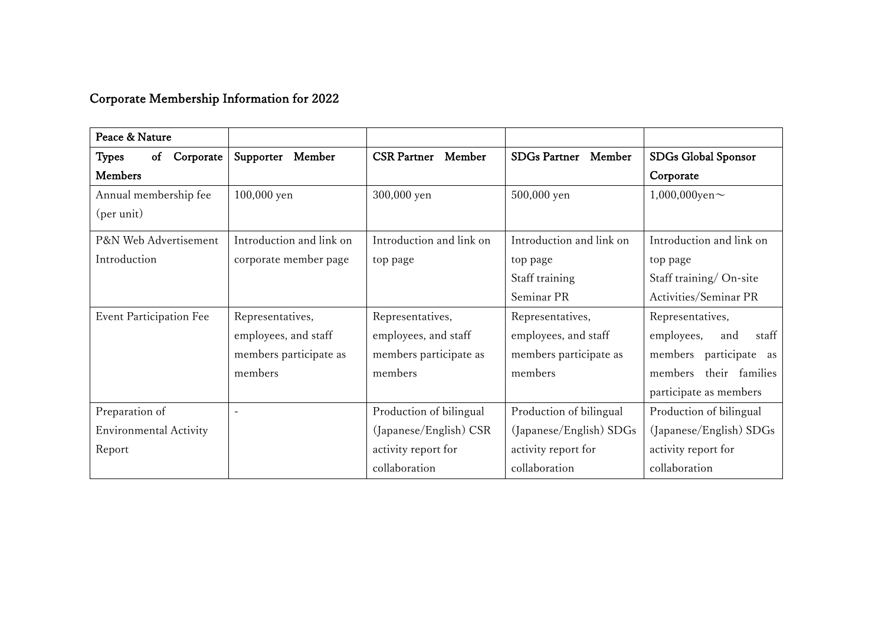## Corporate Membership Information for 2022

| Peace & Nature                 |                          |                           |                               |                            |
|--------------------------------|--------------------------|---------------------------|-------------------------------|----------------------------|
| Corporate<br>of<br>Types       | Supporter Member         | <b>CSR Partner</b> Member | <b>SDGs Partner</b><br>Member | SDGs Global Sponsor        |
| <b>Members</b>                 |                          |                           |                               | Corporate                  |
| Annual membership fee          | 100,000 yen              | 300,000 yen               | 500,000 yen                   | $1,000,000$ yen $\sim$     |
| (per unit)                     |                          |                           |                               |                            |
| P&N Web Advertisement          | Introduction and link on | Introduction and link on  | Introduction and link on      | Introduction and link on   |
| Introduction                   | corporate member page    | top page                  | top page                      | top page                   |
|                                |                          |                           | Staff training                | Staff training/On-site     |
|                                |                          |                           | Seminar PR                    | Activities/Seminar PR      |
| <b>Event Participation Fee</b> | Representatives,         | Representatives,          | Representatives,              | Representatives,           |
|                                | employees, and staff     | employees, and staff      | employees, and staff          | staff<br>employees,<br>and |
|                                | members participate as   | members participate as    | members participate as        | members participate as     |
|                                | members                  | members                   | members                       | members their families     |
|                                |                          |                           |                               | participate as members     |
| Preparation of                 |                          | Production of bilingual   | Production of bilingual       | Production of bilingual    |
| <b>Environmental Activity</b>  |                          | (Japanese/English) CSR    | (Japanese/English) SDGs       | (Japanese/English) SDGs    |
| Report                         |                          | activity report for       | activity report for           | activity report for        |
|                                |                          | collaboration             | collaboration                 | collaboration              |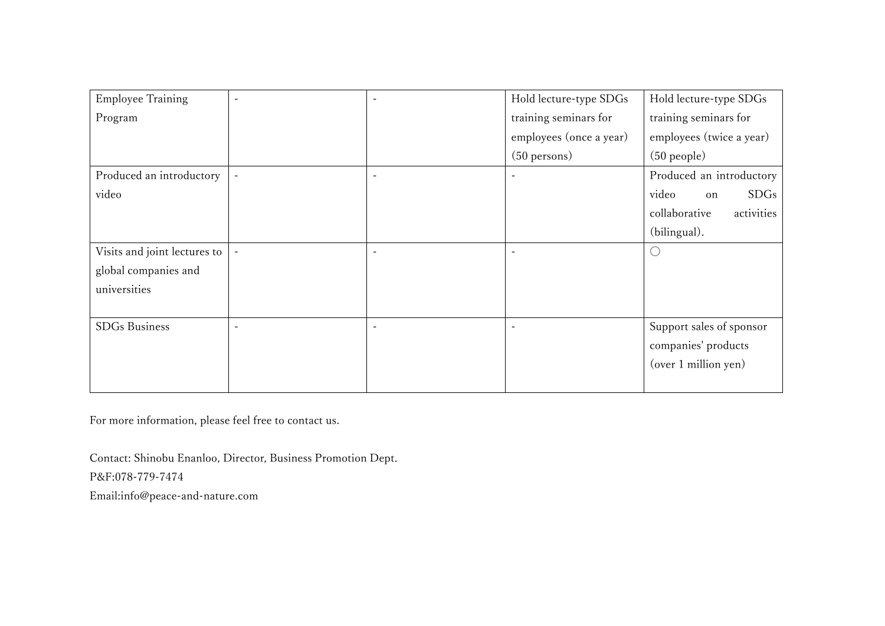| <b>Employee Training</b>     |                          | Hold lecture-type SDGs   | Hold lecture-type SDGs      |
|------------------------------|--------------------------|--------------------------|-----------------------------|
| Program                      |                          | training seminars for    | training seminars for       |
|                              |                          | employees (once a year)  | employees (twice a year)    |
|                              |                          | $(50$ persons)           | $(50$ people)               |
| Produced an introductory     | $\overline{a}$           |                          | Produced an introductory    |
| video                        |                          |                          | video<br>SDGs<br>on         |
|                              |                          |                          | activities<br>collaborative |
|                              |                          |                          | (bilingual).                |
| Visits and joint lectures to | $\overline{\phantom{a}}$ |                          | $( \ )$                     |
| global companies and         |                          |                          |                             |
| universities                 |                          |                          |                             |
|                              |                          |                          |                             |
| <b>SDGs</b> Business         | $\overline{\phantom{a}}$ | $\overline{\phantom{a}}$ | Support sales of sponsor    |
|                              |                          |                          | companies' products         |
|                              |                          |                          | (over 1 million yen)        |
|                              |                          |                          |                             |

For more information, please feel free to contact us.

Contact: Shinobu Enanloo, Director, Business Promotion Dept. P&F:078-779-7474 Email:info@peace-and-nature.com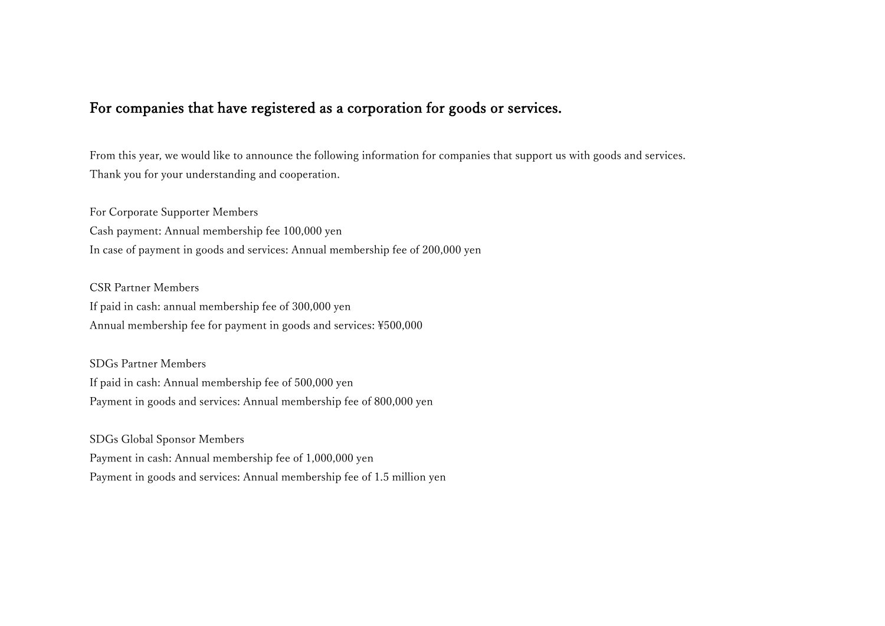## For companies that have registered as a corporation for goods or services.

From this year, we would like to announce the following information for companies that support us with goods and services. Thank you for your understanding and cooperation.

For Corporate Supporter Members Cash payment: Annual membership fee 100,000 yen In case of payment in goods and services: Annual membership fee of 200,000 yen

CSR Partner Members If paid in cash: annual membership fee of 300,000 yen Annual membership fee for payment in goods and services:  $\text{\textsterling}500,000$ 

SDGs Partner Members If paid in cash: Annual membership fee of 500,000 yen Payment in goods and services: Annual membership fee of 800,000 yen

SDGs Global Sponsor Members Payment in cash: Annual membership fee of 1,000,000 yen Payment in goods and services: Annual membership fee of 1.5 million yen